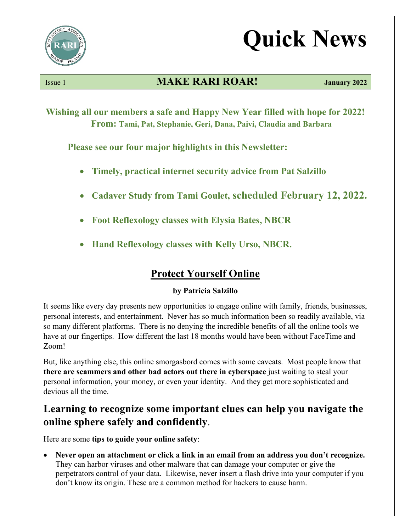

# **Quick News**

# Issue 1 **MAKE RARI ROAR! January 2022**

**Wishing all our members a safe and Happy New Year filled with hope for 2022! From: Tami, Pat, Stephanie, Geri, Dana, Paivi, Claudia and Barbara**

**Please see our four major highlights in this Newsletter:**

- **Timely, practical internet security advice from Pat Salzillo**
- **Cadaver Study from Tami Goulet, scheduled February 12, 2022.**
- **Foot Reflexology classes with Elysia Bates, NBCR**
- **Hand Reflexology classes with Kelly Urso, NBCR.**

# **Protect Yourself Online**

#### **by Patricia Salzillo**

It seems like every day presents new opportunities to engage online with family, friends, businesses, personal interests, and entertainment. Never has so much information been so readily available, via so many different platforms. There is no denying the incredible benefits of all the online tools we have at our fingertips. How different the last 18 months would have been without FaceTime and Zoom!

But, like anything else, this online smorgasbord comes with some caveats. Most people know that **there are scammers and other bad actors out there in cyberspace** just waiting to steal your personal information, your money, or even your identity. And they get more sophisticated and devious all the time.

# **Learning to recognize some important clues can help you navigate the online sphere safely and confidently**.

Here are some **tips to guide your online safety**:

• **Never open an attachment or click a link in an email from an address you don't recognize.** They can harbor viruses and other malware that can damage your computer or give the perpetrators control of your data. Likewise, never insert a flash drive into your computer if you don't know its origin. These are a common method for hackers to cause harm.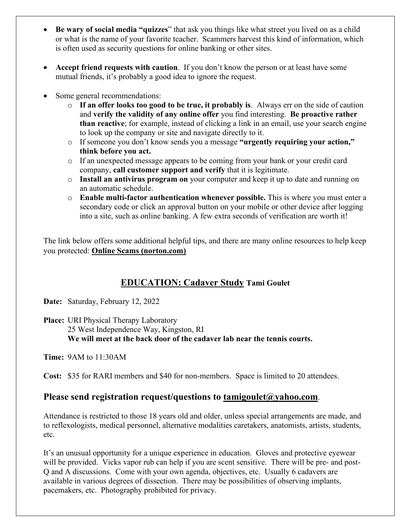- **Be wary of social media "quizzes**" that ask you things like what street you lived on as a child or what is the name of your favorite teacher. Scammers harvest this kind of information, which is often used as security questions for online banking or other sites.
- **Accept friend requests with caution**. If you don't know the person or at least have some mutual friends, it's probably a good idea to ignore the request.
- Some general recommendations:
	- o **If an offer looks too good to be true, it probably is**. Always err on the side of caution and **verify the validity of any online offer** you find interesting. **Be proactive rather than reactive**; for example, instead of clicking a link in an email, use your search engine to look up the company or site and navigate directly to it.
	- o If someone you don't know sends you a message **"urgently requiring your action," think before you act.**
	- o If an unexpected message appears to be coming from your bank or your credit card company, **call customer support and verify** that it is legitimate.
	- o **Install an antivirus program on** your computer and keep it up to date and running on an automatic schedule.
	- o **Enable multi-factor authentication whenever possible.** This is where you must enter a secondary code or click an approval button on your mobile or other device after logging into a site, such as online banking. A few extra seconds of verification are worth it!

The link below offers some additional helpful tips, and there are many online resources to help keep you protected: **[Online Scams \(norton.com\)](https://us.norton.com/internetsecurity-online-scams.html#:%7E:text=Internet%20scams%20are%20different%20methodologies%20of%20Fraud%2C%20facilitated,Phishing.%20The%20top%20online%20scam%20today%20is%20Phishing.)**

## **EDUCATION: Cadaver Study Tami Goulet**

**Date:** Saturday, February 12, 2022

**Place:** URI Physical Therapy Laboratory 25 West Independence Way, Kingston, RI **We will meet at the back door of the cadaver lab near the tennis courts.**

**Time:** 9AM to 11:30AM

**Cost:** \$35 for RARI members and \$40 for non-members. Space is limited to 20 attendees.

#### **Please send registration request/questions to [tamigoulet@yahoo.com](mailto:tamigoulet@yahoo.com)**.

Attendance is restricted to those 18 years old and older, unless special arrangements are made, and to reflexologists, medical personnel, alternative modalities caretakers, anatomists, artists, students, etc.

It's an unusual opportunity for a unique experience in education. Gloves and protective eyewear will be provided. Vicks vapor rub can help if you are scent sensitive. There will be pre- and post-Q and A discussions. Come with your own agenda, objectives, etc. Usually 6 cadavers are available in various degrees of dissection. There may be possibilities of observing implants, pacemakers, etc. Photography prohibited for privacy.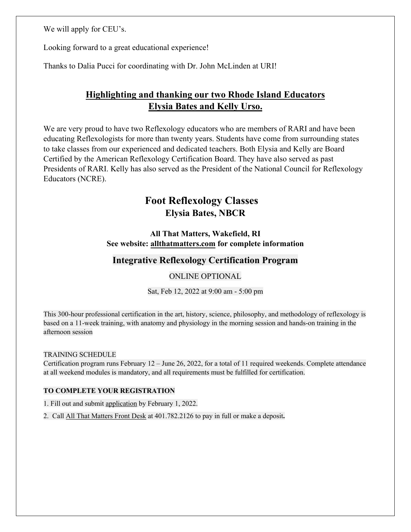We will apply for CEU's.

Looking forward to a great educational experience!

Thanks to Dalia Pucci for coordinating with Dr. John McLinden at URI!

# **Highlighting and thanking our two Rhode Island Educators Elysia Bates and Kelly Urso.**

We are very proud to have two Reflexology educators who are members of RARI and have been educating Reflexologists for more than twenty years. Students have come from surrounding states to take classes from our experienced and dedicated teachers. Both Elysia and Kelly are Board Certified by the American Reflexology Certification Board. They have also served as past Presidents of RARI. Kelly has also served as the President of the National Council for Reflexology Educators (NCRE).

# **Foot Reflexology Classes Elysia Bates, NBCR**

#### **All That Matters, Wakefield, RI See website: allthatmatters.com for complete information**

### **Integrative Reflexology Certification Program**

#### ONLINE OPTIONAL

Sat, Feb 12, 2022 at 9:00 am - 5:00 pm

This 300-hour professional certification in the art, history, science, philosophy, and methodology of reflexology is based on a 11-week training, with anatomy and physiology in the morning session and hands-on training in the afternoon session

#### TRAINING SCHEDULE

Certification program runs February 12 – June 26, 2022, for a total of 11 required weekends. Complete attendance at all weekend modules is mandatory, and all requirements must be fulfilled for certification.

#### **TO COMPLETE YOUR REGISTRATION**

1. Fill out and submit [application](https://forms.gle/zZdsdBqNPNG8HRfW6) by February 1, 2022.

2.Call All That Matters Front Desk at 401.782.2126 to pay in full or make a deposit**.**